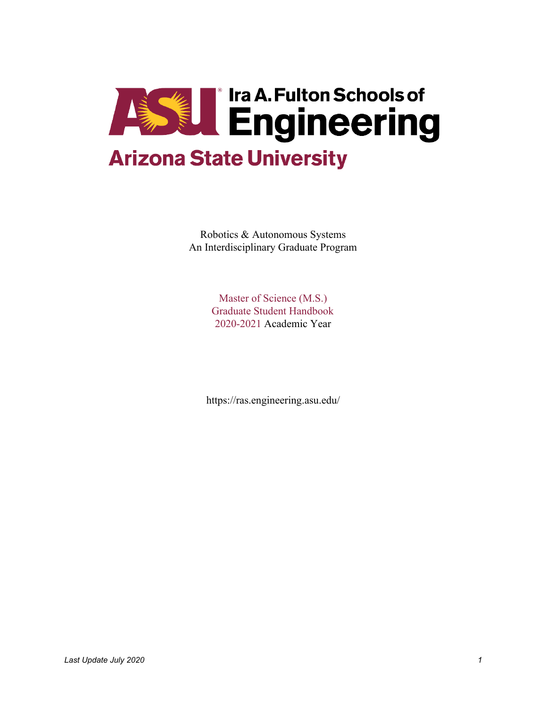

Robotics & Autonomous Systems An Interdisciplinary Graduate Program

> Master of Science (M.S.) Graduate Student Handbook 2020-2021 Academic Year

https://ras.engineering.asu.edu/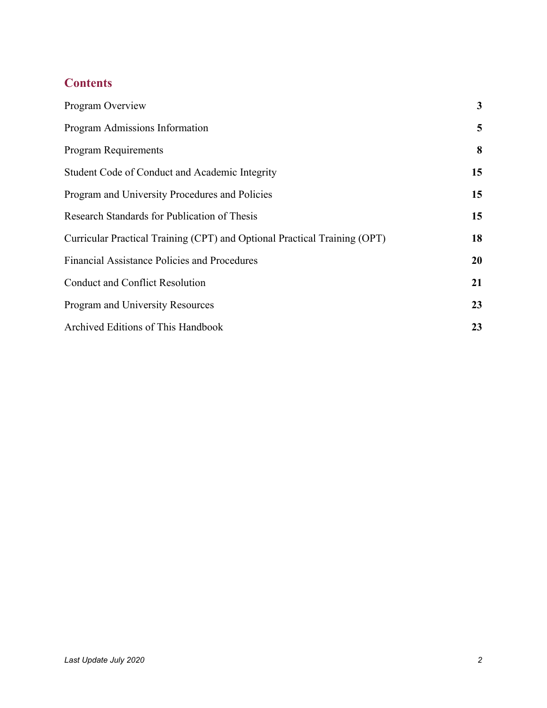# **Contents**

| Program Overview                                                          | $\mathbf{3}$ |
|---------------------------------------------------------------------------|--------------|
| Program Admissions Information                                            | 5            |
| <b>Program Requirements</b>                                               | 8            |
| Student Code of Conduct and Academic Integrity                            | 15           |
| Program and University Procedures and Policies                            | 15           |
| Research Standards for Publication of Thesis                              | 15           |
| Curricular Practical Training (CPT) and Optional Practical Training (OPT) | 18           |
| Financial Assistance Policies and Procedures                              | 20           |
| <b>Conduct and Conflict Resolution</b>                                    | 21           |
| Program and University Resources                                          | 23           |
| Archived Editions of This Handbook                                        | 23           |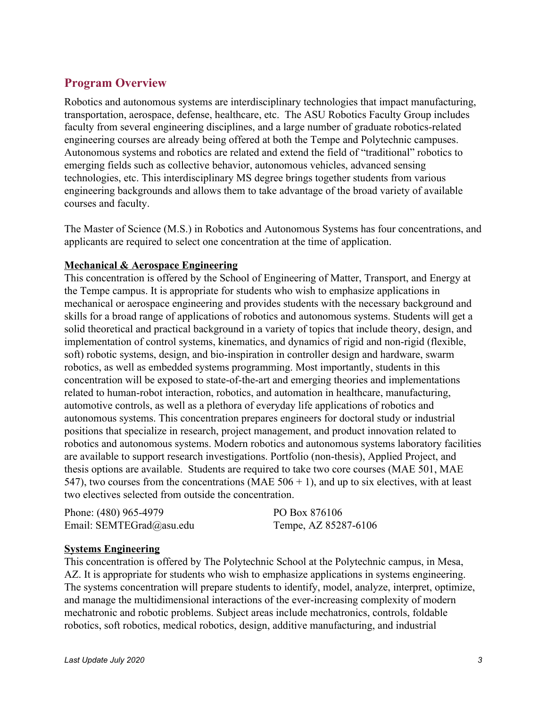# <span id="page-2-0"></span>**Program Overview**

Robotics and autonomous systems are interdisciplinary technologies that impact manufacturing, transportation, aerospace, defense, healthcare, etc. The ASU Robotics Faculty Group includes faculty from several engineering disciplines, and a large number of graduate robotics-related engineering courses are already being offered at both the Tempe and Polytechnic campuses. Autonomous systems and robotics are related and extend the field of "traditional" robotics to emerging fields such as collective behavior, autonomous vehicles, advanced sensing technologies, etc. This interdisciplinary MS degree brings together students from various engineering backgrounds and allows them to take advantage of the broad variety of available courses and faculty.

The Master of Science (M.S.) in Robotics and Autonomous Systems has four concentrations, and applicants are required to select one concentration at the time of application.

#### **Mechanical & Aerospace Engineering**

This concentration is offered by the School of Engineering of Matter, Transport, and Energy at the Tempe campus. It is appropriate for students who wish to emphasize applications in mechanical or aerospace engineering and provides students with the necessary background and skills for a broad range of applications of robotics and autonomous systems. Students will get a solid theoretical and practical background in a variety of topics that include theory, design, and implementation of control systems, kinematics, and dynamics of rigid and non-rigid (flexible, soft) robotic systems, design, and bio-inspiration in controller design and hardware, swarm robotics, as well as embedded systems programming. Most importantly, students in this concentration will be exposed to state-of-the-art and emerging theories and implementations related to human-robot interaction, robotics, and automation in healthcare, manufacturing, automotive controls, as well as a plethora of everyday life applications of robotics and autonomous systems. This concentration prepares engineers for doctoral study or industrial positions that specialize in research, project management, and product innovation related to robotics and autonomous systems. Modern robotics and autonomous systems laboratory facilities are available to support research investigations. Portfolio (non-thesis), Applied Project, and thesis options are available. Students are required to take two core courses (MAE 501, MAE 547), two courses from the concentrations (MAE  $506 + 1$ ), and up to six electives, with at least two electives selected from outside the concentration.

| Phone: (480) 965-4979    | PO Box 876106        |
|--------------------------|----------------------|
| Email: SEMTEGrad@asu.edu | Tempe, AZ 85287-6106 |

#### **Systems Engineering**

This concentration is offered by The Polytechnic School at the Polytechnic campus, in Mesa, AZ. It is appropriate for students who wish to emphasize applications in systems engineering. The systems concentration will prepare students to identify, model, analyze, interpret, optimize, and manage the multidimensional interactions of the ever-increasing complexity of modern mechatronic and robotic problems. Subject areas include mechatronics, controls, foldable robotics, soft robotics, medical robotics, design, additive manufacturing, and industrial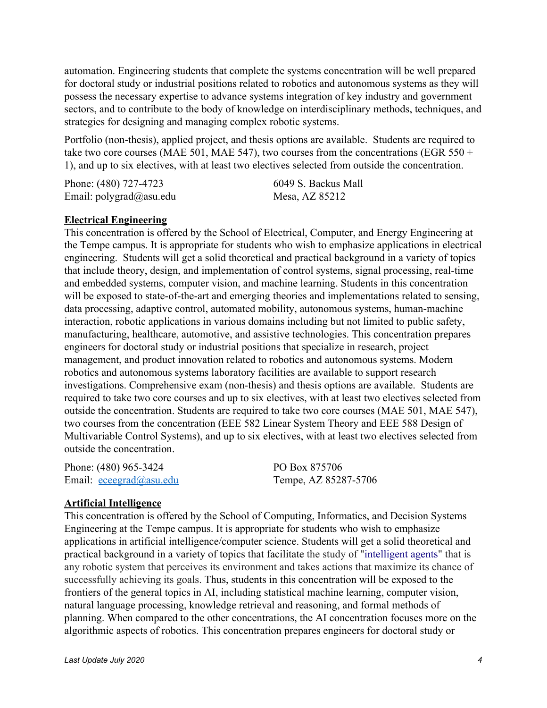automation. Engineering students that complete the systems concentration will be well prepared for doctoral study or industrial positions related to robotics and autonomous systems as they will possess the necessary expertise to advance systems integration of key industry and government sectors, and to contribute to the body of knowledge on interdisciplinary methods, techniques, and strategies for designing and managing complex robotic systems.

Portfolio (non-thesis), applied project, and thesis options are available. Students are required to take two core courses (MAE 501, MAE 547), two courses from the concentrations (EGR 550 + 1), and up to six electives, with at least two electives selected from outside the concentration.

| Phone: (480) 727-4723        | 6049 S. Backus Mall |
|------------------------------|---------------------|
| Email: $polygrad(a)$ asu.edu | Mesa, AZ 85212      |

#### **Electrical Engineering**

This concentration is offered by the School of Electrical, Computer, and Energy Engineering at the Tempe campus. It is appropriate for students who wish to emphasize applications in electrical engineering. Students will get a solid theoretical and practical background in a variety of topics that include theory, design, and implementation of control systems, signal processing, real-time and embedded systems, computer vision, and machine learning. Students in this concentration will be exposed to state-of-the-art and emerging theories and implementations related to sensing, data processing, adaptive control, automated mobility, autonomous systems, human-machine interaction, robotic applications in various domains including but not limited to public safety, manufacturing, healthcare, automotive, and assistive technologies. This concentration prepares engineers for doctoral study or industrial positions that specialize in research, project management, and product innovation related to robotics and autonomous systems. Modern robotics and autonomous systems laboratory facilities are available to support research investigations. Comprehensive exam (non-thesis) and thesis options are available. Students are required to take two core courses and up to six electives, with at least two electives selected from outside the concentration. Students are required to take two core courses (MAE 501, MAE 547), two courses from the concentration (EEE 582 Linear System Theory and EEE 588 Design of Multivariable Control Systems), and up to six electives, with at least two electives selected from outside the concentration.

Phone: (480) 965-3424 Email: [eceegrad@asu.edu](mailto:eceegrad@asu.edu) PO Box 875706 Tempe, AZ 85287-5706

#### **Artificial Intelligence**

This concentration is offered by the School of Computing, Informatics, and Decision Systems Engineering at the Tempe campus. It is appropriate for students who wish to emphasize applications in artificial intelligence/computer science. Students will get a solid theoretical and practical background in a variety of topics that facilitate the study of ["intelligent agents](https://en.wikipedia.org/wiki/Intelligent_agent)" that is any robotic system that perceives its environment and takes actions that maximize its chance of successfully achieving its goals. Thus, students in this concentration will be exposed to the frontiers of the general topics in AI, including statistical machine learning, computer vision, natural language processing, knowledge retrieval and reasoning, and formal methods of planning. When compared to the other concentrations, the AI concentration focuses more on the algorithmic aspects of robotics. This concentration prepares engineers for doctoral study or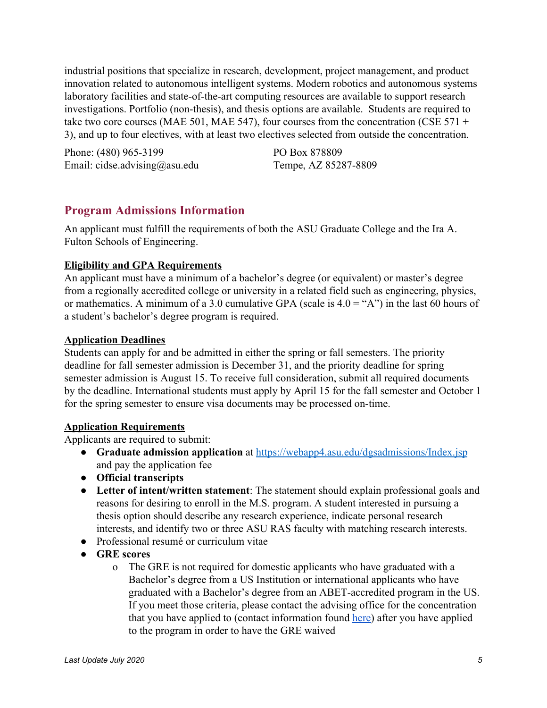industrial positions that specialize in research, development, project management, and product innovation related to autonomous intelligent systems. Modern robotics and autonomous systems laboratory facilities and state-of-the-art computing resources are available to support research investigations. Portfolio (non-thesis), and thesis options are available. Students are required to take two core courses (MAE 501, MAE 547), four courses from the concentration (CSE 571 + 3), and up to four electives, with at least two electives selected from outside the concentration.

<span id="page-4-0"></span>Phone: (480) 965-3199 Email: cidse.advising@asu.edu PO Box 878809 Tempe, AZ 85287-8809

# **Program Admissions Information**

An applicant must fulfill the requirements of both the ASU Graduate College and the Ira A. Fulton Schools of Engineering.

# **Eligibility and GPA Requirements**

An applicant must have a minimum of a bachelor's degree (or equivalent) or master's degree from a regionally accredited college or university in a related field such as engineering, physics, or mathematics. A minimum of a 3.0 cumulative GPA (scale is  $4.0 = "A"$ ) in the last 60 hours of a student's bachelor's degree program is required.

## **Application Deadlines**

Students can apply for and be admitted in either the spring or fall semesters. The priority deadline for fall semester admission is December 31, and the priority deadline for spring semester admission is August 15. To receive full consideration, submit all required documents by the deadline. International students must apply by April 15 for the fall semester and October 1 for the spring semester to ensure visa documents may be processed on-time.

## **Application Requirements**

Applicants are required to submit:

- **Graduate admission application** at<https://webapp4.asu.edu/dgsadmissions/Index.jsp> and pay the application fee
- **● Official transcripts**
- **Letter of intent/written statement**: The statement should explain professional goals and reasons for desiring to enroll in the M.S. program. A student interested in pursuing a thesis option should describe any research experience, indicate personal research interests, and identify two or three ASU RAS faculty with matching research interests.
- Professional resumé or curriculum vitae
- **GRE scores**
	- o The GRE is not required for domestic applicants who have graduated with a Bachelor's degree from a US Institution or international applicants who have graduated with a Bachelor's degree from an ABET-accredited program in the US. If you meet those criteria, please contact the advising office for the concentration that you have applied to (contact information found [here\)](https://ras.engineering.asu.edu/contact/) after you have applied to the program in order to have the GRE waived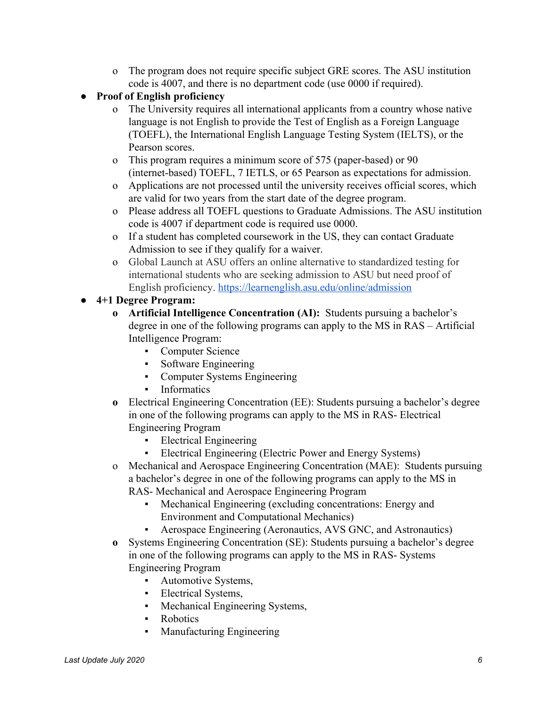- o The program does not require specific subject GRE scores. The ASU institution code is 4007, and there is no department code (use 0000 if required).
- **● Proof of English proficiency**
	- o The University requires all international applicants from a country whose native language is not English to provide the Test of English as a Foreign Language (TOEFL), the International English Language Testing System (IELTS), or the Pearson scores.
	- o This program requires a minimum score of 575 (paper-based) or 90 (internet-based) TOEFL, 7 IETLS, or 65 Pearson as expectations for admission.
	- o Applications are not processed until the university receives official scores, which are valid for two years from the start date of the degree program.
	- o Please address all TOEFL questions to Graduate Admissions. The ASU institution code is 4007 if department code is required use 0000.
	- o If a student has completed coursework in the US, they can contact Graduate Admission to see if they qualify for a waiver.
	- o Global Launch at ASU offers an online alternative to standardized testing for international students who are seeking admission to ASU but need proof of English proficiency.<https://learnenglish.asu.edu/online/admission>
- **● 4+1 Degree Program:**
	- **o Artificial Intelligence Concentration (AI):** Students pursuing a bachelor's degree in one of the following programs can apply to the MS in RAS – Artificial Intelligence Program:
		- Computer Science
		- Software Engineering
		- Computer Systems Engineering
		- **Informatics**
	- **o** Electrical Engineering Concentration (EE): Students pursuing a bachelor's degree in one of the following programs can apply to the MS in RAS- Electrical Engineering Program
		- **•** Electrical Engineering
		- Electrical Engineering (Electric Power and Energy Systems)
	- o Mechanical and Aerospace Engineering Concentration (MAE): Students pursuing a bachelor's degree in one of the following programs can apply to the MS in RAS- Mechanical and Aerospace Engineering Program
		- Mechanical Engineering (excluding concentrations: Energy and Environment and Computational Mechanics)
			- Aerospace Engineering (Aeronautics, AVS GNC, and Astronautics)
	- **o** Systems Engineering Concentration (SE): Students pursuing a bachelor's degree in one of the following programs can apply to the MS in RAS- Systems Engineering Program
		- Automotive Systems,
		- **Electrical Systems,**
		- Mechanical Engineering Systems,
		- Robotics
		- Manufacturing Engineering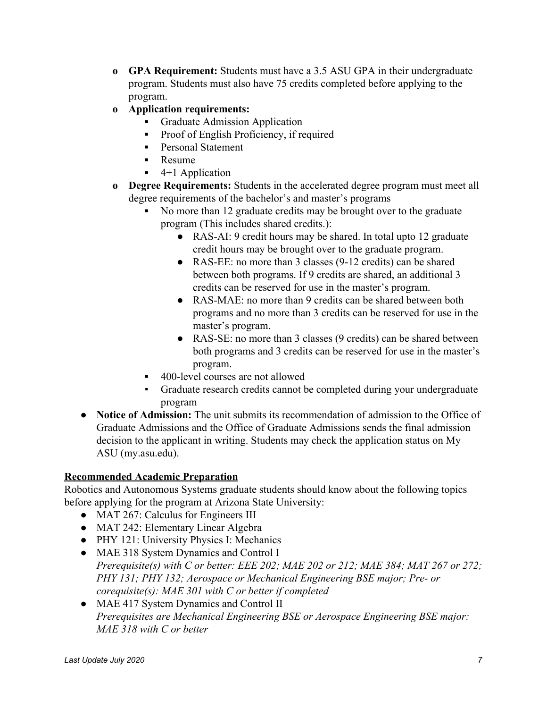- **o GPA Requirement:** Students must have a 3.5 ASU GPA in their undergraduate program. Students must also have 75 credits completed before applying to the program.
- **o Application requirements:**
	- **▪** Graduate Admission Application
	- Proof of English Proficiency, if required
	- **▪** Personal Statement
	- **▪** Resume
	- **▪** 4+1 Application
- **o Degree Requirements:** Students in the accelerated degree program must meet all degree requirements of the bachelor's and master's programs
	- No more than 12 graduate credits may be brought over to the graduate program (This includes shared credits.):
		- **●** RAS-AI: 9 credit hours may be shared. In total upto 12 graduate credit hours may be brought over to the graduate program.
		- **●** RAS-EE: no more than 3 classes (9-12 credits) can be shared between both programs. If 9 credits are shared, an additional 3 credits can be reserved for use in the master's program.
		- **●** RAS-MAE: no more than 9 credits can be shared between both programs and no more than 3 credits can be reserved for use in the master's program.
		- **●** RAS-SE: no more than 3 classes (9 credits) can be shared between both programs and 3 credits can be reserved for use in the master's program.
	- 400-level courses are not allowed
	- Graduate research credits cannot be completed during your undergraduate program
- **Notice of Admission:** The unit submits its recommendation of admission to the Office of Graduate Admissions and the Office of Graduate Admissions sends the final admission decision to the applicant in writing. Students may check the application status on My ASU (my.asu.edu).

# **Recommended Academic Preparation**

Robotics and Autonomous Systems graduate students should know about the following topics before applying for the program at Arizona State University:

- MAT 267: Calculus for Engineers III
- MAT 242: Elementary Linear Algebra
- PHY 121: University Physics I: Mechanics
- MAE 318 System Dynamics and Control I *Prerequisite(s) with C or better: EEE 202; MAE 202 or 212; MAE 384; MAT 267 or 272; PHY 131; PHY 132; Aerospace or Mechanical Engineering BSE major; Pre- or corequisite(s): MAE 301 with C or better if completed*
- MAE 417 System Dynamics and Control II *Prerequisites are Mechanical Engineering BSE or Aerospace Engineering BSE major: MAE 318 with C or better*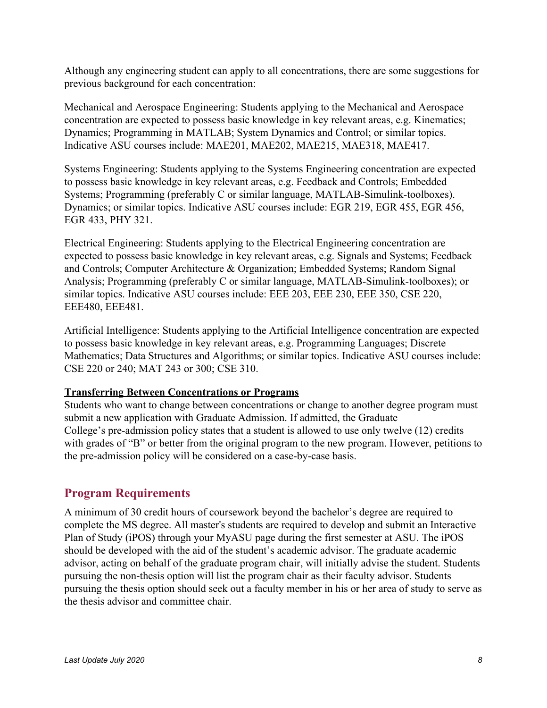Although any engineering student can apply to all concentrations, there are some suggestions for previous background for each concentration:

Mechanical and Aerospace Engineering: Students applying to the Mechanical and Aerospace concentration are expected to possess basic knowledge in key relevant areas, e.g. Kinematics; Dynamics; Programming in MATLAB; System Dynamics and Control; or similar topics. Indicative ASU courses include: MAE201, MAE202, MAE215, MAE318, MAE417.

Systems Engineering: Students applying to the Systems Engineering concentration are expected to possess basic knowledge in key relevant areas, e.g. Feedback and Controls; Embedded Systems; Programming (preferably C or similar language, MATLAB-Simulink-toolboxes). Dynamics; or similar topics. Indicative ASU courses include: EGR 219, EGR 455, EGR 456, EGR 433, PHY 321.

Electrical Engineering: Students applying to the Electrical Engineering concentration are expected to possess basic knowledge in key relevant areas, e.g. Signals and Systems; Feedback and Controls; Computer Architecture & Organization; Embedded Systems; Random Signal Analysis; Programming (preferably C or similar language, MATLAB-Simulink-toolboxes); or similar topics. Indicative ASU courses include: EEE 203, EEE 230, EEE 350, CSE 220, EEE480, EEE481.

Artificial Intelligence: Students applying to the Artificial Intelligence concentration are expected to possess basic knowledge in key relevant areas, e.g. Programming Languages; Discrete Mathematics; Data Structures and Algorithms; or similar topics. Indicative ASU courses include: CSE 220 or 240; MAT 243 or 300; CSE 310.

#### **Transferring Between Concentrations or Programs**

Students who want to change between concentrations or change to another degree program must submit a new application with Graduate Admission. If admitted, the Graduate College's pre-admission policy states that a student is allowed to use only twelve (12) credits with grades of "B" or better from the original program to the new program. However, petitions to the pre-admission policy will be considered on a case-by-case basis.

## <span id="page-7-0"></span>**Program Requirements**

A minimum of 30 credit hours of coursework beyond the bachelor's degree are required to complete the MS degree. All master's students are required to develop and submit an Interactive Plan of Study (iPOS) through your MyASU page during the first semester at ASU. The iPOS should be developed with the aid of the student's academic advisor. The graduate academic advisor, acting on behalf of the graduate program chair, will initially advise the student. Students pursuing the non-thesis option will list the program chair as their faculty advisor. Students pursuing the thesis option should seek out a faculty member in his or her area of study to serve as the thesis advisor and committee chair.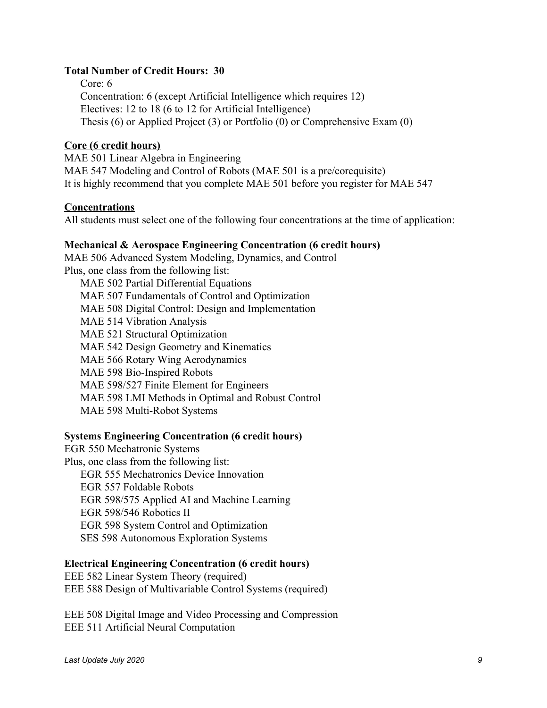#### **Total Number of Credit Hours: 30**

Core: 6 Concentration: 6 (except Artificial Intelligence which requires 12) Electives: 12 to 18 (6 to 12 for Artificial Intelligence) Thesis (6) or Applied Project (3) or Portfolio (0) or Comprehensive Exam (0)

#### **Core (6 credit hours)**

MAE 501 Linear Algebra in Engineering MAE 547 Modeling and Control of Robots (MAE 501 is a pre/corequisite) It is highly recommend that you complete MAE 501 before you register for MAE 547

#### **Concentrations**

All students must select one of the following four concentrations at the time of application:

#### **Mechanical & Aerospace Engineering Concentration (6 credit hours)**

MAE 506 Advanced System Modeling, Dynamics, and Control Plus, one class from the following list: MAE 502 Partial Differential Equations MAE 507 Fundamentals of Control and Optimization

MAE 508 Digital Control: Design and Implementation

MAE 514 Vibration Analysis

MAE 521 Structural Optimization

MAE 542 Design Geometry and Kinematics

MAE 566 Rotary Wing Aerodynamics

MAE 598 Bio-Inspired Robots

MAE 598/527 Finite Element for Engineers

MAE 598 LMI Methods in Optimal and Robust Control

MAE 598 Multi-Robot Systems

#### **Systems Engineering Concentration (6 credit hours)**

EGR 550 Mechatronic Systems Plus, one class from the following list: EGR 555 Mechatronics Device Innovation EGR 557 Foldable Robots EGR 598/575 Applied AI and Machine Learning EGR 598/546 Robotics II EGR 598 System Control and Optimization SES 598 Autonomous Exploration Systems

#### **Electrical Engineering Concentration (6 credit hours)**

EEE 582 Linear System Theory (required) EEE 588 Design of Multivariable Control Systems (required)

EEE 508 Digital Image and Video Processing and Compression EEE 511 Artificial Neural Computation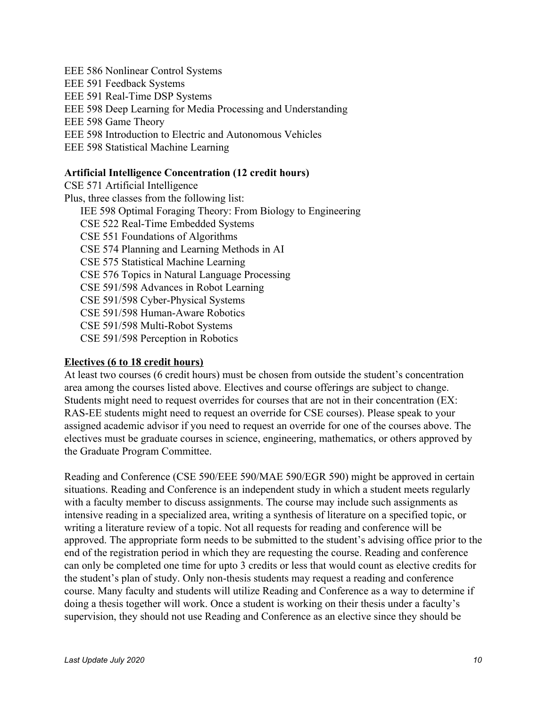EEE 586 Nonlinear Control Systems EEE 591 Feedback Systems EEE 591 Real-Time DSP Systems EEE 598 Deep Learning for Media Processing and Understanding EEE 598 Game Theory EEE 598 Introduction to Electric and Autonomous Vehicles EEE 598 Statistical Machine Learning

#### **Artificial Intelligence Concentration (12 credit hours)**

CSE 571 Artificial Intelligence Plus, three classes from the following list: IEE 598 Optimal Foraging Theory: From Biology to Engineering CSE 522 Real-Time Embedded Systems CSE 551 Foundations of Algorithms CSE 574 Planning and Learning Methods in AI CSE 575 Statistical Machine Learning CSE 576 Topics in Natural Language Processing CSE 591/598 Advances in Robot Learning CSE 591/598 Cyber-Physical Systems CSE 591/598 Human-Aware Robotics CSE 591/598 Multi-Robot Systems CSE 591/598 Perception in Robotics

#### **Electives (6 to 18 credit hours)**

At least two courses (6 credit hours) must be chosen from outside the student's concentration area among the courses listed above. Electives and course offerings are subject to change. Students might need to request overrides for courses that are not in their concentration (EX: RAS-EE students might need to request an override for CSE courses). Please speak to your assigned academic advisor if you need to request an override for one of the courses above. The electives must be graduate courses in science, engineering, mathematics, or others approved by the Graduate Program Committee.

Reading and Conference (CSE 590/EEE 590/MAE 590/EGR 590) might be approved in certain situations. Reading and Conference is an independent study in which a student meets regularly with a faculty member to discuss assignments. The course may include such assignments as intensive reading in a specialized area, writing a synthesis of literature on a specified topic, or writing a literature review of a topic. Not all requests for reading and conference will be approved. The appropriate form needs to be submitted to the student's advising office prior to the end of the registration period in which they are requesting the course. Reading and conference can only be completed one time for upto 3 credits or less that would count as elective credits for the student's plan of study. Only non-thesis students may request a reading and conference course. Many faculty and students will utilize Reading and Conference as a way to determine if doing a thesis together will work. Once a student is working on their thesis under a faculty's supervision, they should not use Reading and Conference as an elective since they should be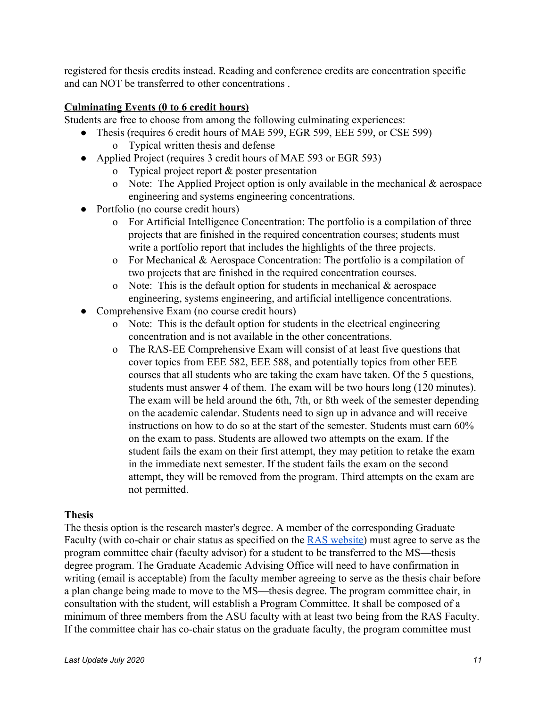registered for thesis credits instead. Reading and conference credits are concentration specific and can NOT be transferred to other concentrations .

### **Culminating Events (0 to 6 credit hours)**

Students are free to choose from among the following culminating experiences:

- Thesis (requires 6 credit hours of MAE 599, EGR 599, EEE 599, or CSE 599) o Typical written thesis and defense
- Applied Project (requires 3 credit hours of MAE 593 or EGR 593)
	- o Typical project report & poster presentation
	- o Note: The Applied Project option is only available in the mechanical  $\&$  aerospace engineering and systems engineering concentrations.
- Portfolio (no course credit hours)
	- o For Artificial Intelligence Concentration: The portfolio is a compilation of three projects that are finished in the required concentration courses; students must write a portfolio report that includes the highlights of the three projects.
	- o For Mechanical & Aerospace Concentration: The portfolio is a compilation of two projects that are finished in the required concentration courses.
	- o Note: This is the default option for students in mechanical  $\&$  aerospace engineering, systems engineering, and artificial intelligence concentrations.
- Comprehensive Exam (no course credit hours)
	- o Note: This is the default option for students in the electrical engineering concentration and is not available in the other concentrations.
	- o The RAS-EE Comprehensive Exam will consist of at least five questions that cover topics from EEE 582, EEE 588, and potentially topics from other EEE courses that all students who are taking the exam have taken. Of the 5 questions, students must answer 4 of them. The exam will be two hours long (120 minutes). The exam will be held around the 6th, 7th, or 8th week of the semester depending on the academic calendar. Students need to sign up in advance and will receive instructions on how to do so at the start of the semester. Students must earn 60% on the exam to pass. Students are allowed two attempts on the exam. If the student fails the exam on their first attempt, they may petition to retake the exam in the immediate next semester. If the student fails the exam on the second attempt, they will be removed from the program. Third attempts on the exam are not permitted.

#### **Thesis**

The thesis option is the research master's degree. A member of the corresponding Graduate Faculty (with co-chair or chair status as specified on the **RAS** website) must agree to serve as the program committee chair (faculty advisor) for a student to be transferred to the MS—thesis degree program. The Graduate Academic Advising Office will need to have confirmation in writing (email is acceptable) from the faculty member agreeing to serve as the thesis chair before a plan change being made to move to the MS—thesis degree. The program committee chair, in consultation with the student, will establish a Program Committee. It shall be composed of a minimum of three members from the ASU faculty with at least two being from the RAS Faculty. If the committee chair has co-chair status on the graduate faculty, the program committee must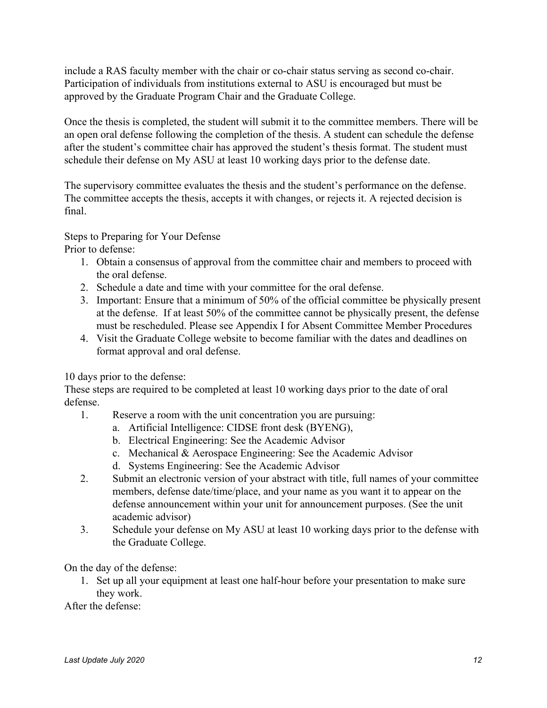include a RAS faculty member with the chair or co-chair status serving as second co-chair. Participation of individuals from institutions external to ASU is encouraged but must be approved by the Graduate Program Chair and the Graduate College.

Once the thesis is completed, the student will submit it to the committee members. There will be an open oral defense following the completion of the thesis. A student can schedule the defense after the student's committee chair has approved the student's thesis format. The student must schedule their defense on My ASU at least 10 working days prior to the defense date.

The supervisory committee evaluates the thesis and the student's performance on the defense. The committee accepts the thesis, accepts it with changes, or rejects it. A rejected decision is final.

Steps to Preparing for Your Defense

Prior to defense:

- 1. Obtain a consensus of approval from the committee chair and members to proceed with the oral defense.
- 2. Schedule a date and time with your committee for the oral defense.
- 3. Important: Ensure that a minimum of 50% of the official committee be physically present at the defense. If at least 50% of the committee cannot be physically present, the defense must be rescheduled. Please see Appendix I for Absent Committee Member Procedures
- 4. Visit the Graduate College website to become familiar with the dates and deadlines on format approval and oral defense.

10 days prior to the defense:

These steps are required to be completed at least 10 working days prior to the date of oral defense.

- 1. Reserve a room with the unit concentration you are pursuing:
	- a. Artificial Intelligence: CIDSE front desk (BYENG),
	- b. Electrical Engineering: See the Academic Advisor
	- c. Mechanical & Aerospace Engineering: See the Academic Advisor
	- d. Systems Engineering: See the Academic Advisor
- 2. Submit an electronic version of your abstract with title, full names of your committee members, defense date/time/place, and your name as you want it to appear on the defense announcement within your unit for announcement purposes. (See the unit academic advisor)
- 3. Schedule your defense on My ASU at least 10 working days prior to the defense with the Graduate College.

On the day of the defense:

1. Set up all your equipment at least one half-hour before your presentation to make sure they work.

After the defense: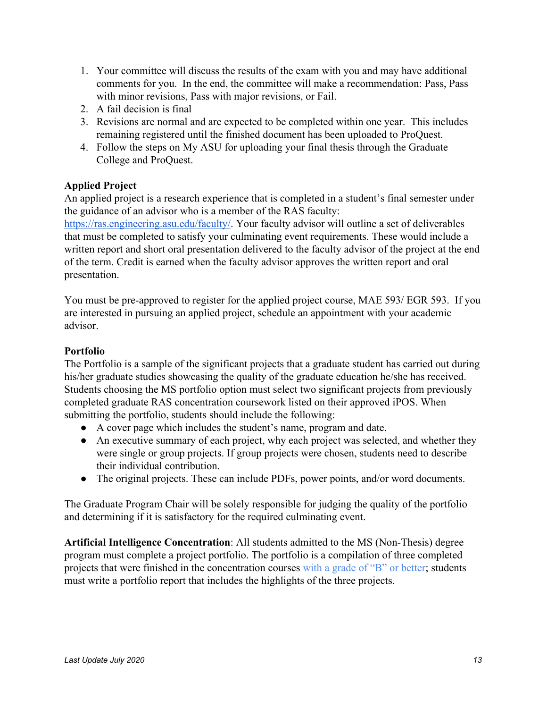- 1. Your committee will discuss the results of the exam with you and may have additional comments for you. In the end, the committee will make a recommendation: Pass, Pass with minor revisions, Pass with major revisions, or Fail.
- 2. A fail decision is final
- 3. Revisions are normal and are expected to be completed within one year. This includes remaining registered until the finished document has been uploaded to ProQuest.
- 4. Follow the steps on My ASU for uploading your final thesis through the Graduate College and ProQuest.

# **Applied Project**

An applied project is a research experience that is completed in a student's final semester under the guidance of an advisor who is a member of the RAS faculty:

<https://ras.engineering.asu.edu/faculty/>. Your faculty advisor will outline a set of deliverables that must be completed to satisfy your culminating event requirements. These would include a written report and short oral presentation delivered to the faculty advisor of the project at the end of the term. Credit is earned when the faculty advisor approves the written report and oral presentation.

You must be pre-approved to register for the applied project course, MAE 593/ EGR 593. If you are interested in pursuing an applied project, schedule an appointment with your academic advisor.

# **Portfolio**

The Portfolio is a sample of the significant projects that a graduate student has carried out during his/her graduate studies showcasing the quality of the graduate education he/she has received. Students choosing the MS portfolio option must select two significant projects from previously completed graduate RAS concentration coursework listed on their approved iPOS. When submitting the portfolio, students should include the following:

- A cover page which includes the student's name, program and date.
- An executive summary of each project, why each project was selected, and whether they were single or group projects. If group projects were chosen, students need to describe their individual contribution.
- The original projects. These can include PDFs, power points, and/or word documents.

The Graduate Program Chair will be solely responsible for judging the quality of the portfolio and determining if it is satisfactory for the required culminating event.

**Artificial Intelligence Concentration**: All students admitted to the MS (Non-Thesis) degree program must complete a project portfolio. The portfolio is a compilation of three completed projects that were finished in the concentration courses with a grade of "B" or better; students must write a portfolio report that includes the highlights of the three projects.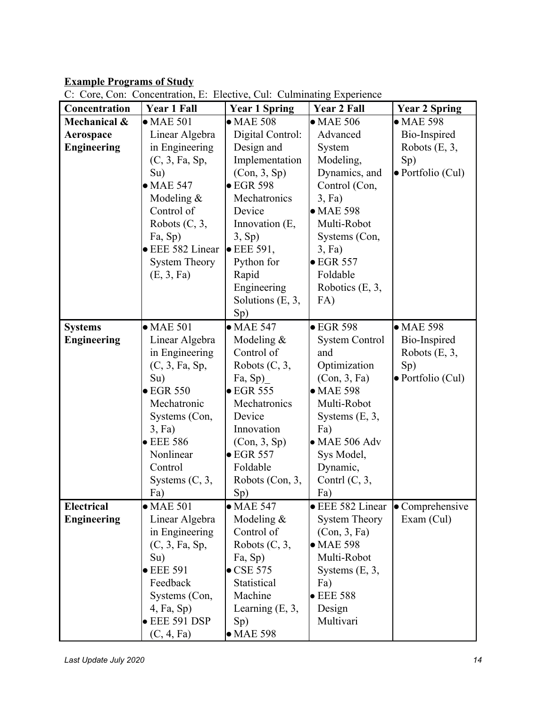# **Example Programs of Study**

| Concentration      | <b>Year 1 Fall</b>    | <b>Year 1 Spring</b>  | <b>Year 2 Fall</b>    | <b>Year 2 Spring</b> |
|--------------------|-----------------------|-----------------------|-----------------------|----------------------|
| Mechanical &       | $\bullet$ MAE 501     | $\bullet$ MAE 508     | $\bullet$ MAE 506     | $\bullet$ MAE 598    |
| Aerospace          | Linear Algebra        | Digital Control:      | Advanced              | Bio-Inspired         |
| <b>Engineering</b> | in Engineering        | Design and            | System                | Robots $(E, 3,$      |
|                    | (C, 3, Fa, Sp,        | Implementation        | Modeling,             | Sp)                  |
|                    | Su)                   | (Con, 3, Sp)          | Dynamics, and         | · Portfolio (Cul)    |
|                    | $\bullet$ MAE 547     | $\bullet$ EGR 598     | Control (Con,         |                      |
|                    | Modeling $&$          | Mechatronics          | $3$ , Fa)             |                      |
|                    | Control of            | Device                | $\bullet$ MAE 598     |                      |
|                    | Robots (C, 3,         | Innovation (E,        | Multi-Robot           |                      |
|                    | Fa, Sp)               | 3, Sp                 | Systems (Con,         |                      |
|                    | <b>EEE</b> 582 Linear | $\bullet$ EEE 591,    | $3$ , Fa)             |                      |
|                    | <b>System Theory</b>  | Python for            | $\bullet$ EGR 557     |                      |
|                    | (E, 3, Fa)            | Rapid                 | Foldable              |                      |
|                    |                       | Engineering           | Robotics $(E, 3,$     |                      |
|                    |                       | Solutions $(E, 3, 3)$ | FA)                   |                      |
|                    |                       | Sp)                   |                       |                      |
|                    |                       |                       |                       | $\bullet$ MAE 598    |
| <b>Systems</b>     | $\bullet$ MAE 501     | $\bullet$ MAE 547     | $\bullet$ EGR 598     |                      |
| <b>Engineering</b> | Linear Algebra        | Modeling $&$          | <b>System Control</b> | Bio-Inspired         |
|                    | in Engineering        | Control of            | and                   | Robots $(E, 3,$      |
|                    | (C, 3, Fa, Sp,        | Robots $(C, 3,$       | Optimization          | Sp)                  |
|                    | Su)                   | Fa, Sp)               | (Con, 3, Fa)          | · Portfolio (Cul)    |
|                    | $\bullet$ EGR 550     | $\bullet$ EGR 555     | $\bullet$ MAE 598     |                      |
|                    | Mechatronic           | Mechatronics          | Multi-Robot           |                      |
|                    | Systems (Con,         | Device                | Systems $(E, 3,$      |                      |
|                    | $3$ , Fa)             | Innovation            | Fa)                   |                      |
|                    | $\bullet$ EEE 586     | (Con, 3, Sp)          | $\bullet$ MAE 506 Adv |                      |
|                    | Nonlinear             | $\bullet$ EGR 557     | Sys Model,            |                      |
|                    | Control               | Foldable              | Dynamic,              |                      |
|                    | Systems $(C, 3,$      | Robots (Con, 3,       | Contrl $(C, 3,$       |                      |
|                    | Fa)                   | Sp)                   | Fa)                   |                      |
| <b>Electrical</b>  | $\bullet$ MAE 501     | $\bullet$ MAE 547     | • EEE 582 Linear      | • Comprehensive      |
| <b>Engineering</b> | Linear Algebra        | Modeling $&$          | <b>System Theory</b>  | Exam (Cul)           |
|                    | in Engineering        | Control of            | (Con, 3, Fa)          |                      |
|                    | (C, 3, Fa, Sp,        | Robots $(C, 3,$       | $\bullet$ MAE 598     |                      |
|                    | Su)                   | Fa, Sp)               | Multi-Robot           |                      |
|                    | $\bullet$ EEE 591     | $\bullet$ CSE 575     | Systems $(E, 3,$      |                      |
|                    | Feedback              | Statistical           | Fa)                   |                      |
|                    | Systems (Con,         | Machine               | $\bullet$ EEE 588     |                      |
|                    | $4$ , Fa, Sp)         | Learning $(E, 3, 1)$  | Design                |                      |
|                    | $\bullet$ EEE 591 DSP | Sp)                   | Multivari             |                      |
|                    | (C, 4, Fa)            | $\bullet$ MAE 598     |                       |                      |

C: Core, Con: Concentration, E: Elective, Cul: Culminating Experience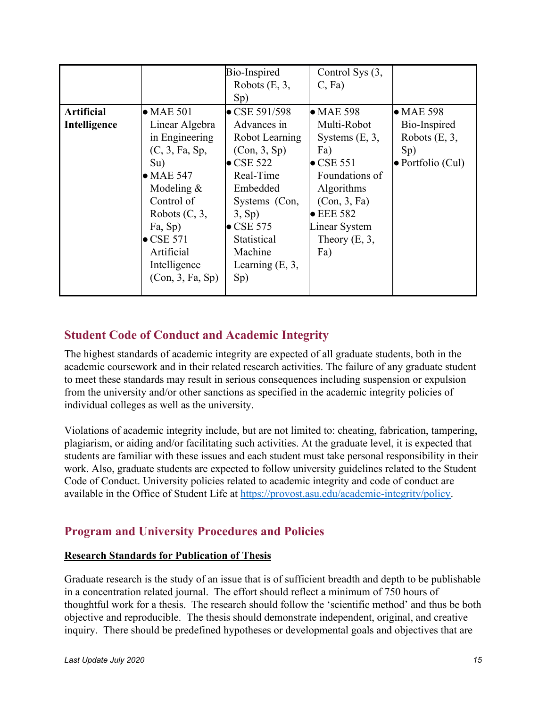|                   |                   | Bio-Inspired          | Control Sys (3,    |                           |
|-------------------|-------------------|-----------------------|--------------------|---------------------------|
|                   |                   | Robots $(E, 3,$       | $C$ , Fa)          |                           |
|                   |                   | Sp)                   |                    |                           |
| <b>Artificial</b> | $\bullet$ MAE 501 | $\bullet$ CSE 591/598 | $\bullet$ MAE 598  | $\bullet$ MAE 598         |
| Intelligence      | Linear Algebra    | Advances in           | Multi-Robot        | Bio-Inspired              |
|                   | in Engineering    | Robot Learning        | Systems $(E, 3,$   | Robots $(E, 3,$           |
|                   | (C, 3, Fa, Sp,    | (Con, 3, Sp)          | Fa)                | $Sp$ )                    |
|                   | Su)               | $\bullet$ CSE 522     | $\bullet$ CSE 551  | $\bullet$ Portfolio (Cul) |
|                   | $\bullet$ MAE 547 | Real-Time             | Foundations of     |                           |
|                   | Modeling $\&$     | Embedded              | <b>Algorithms</b>  |                           |
|                   | Control of        | Systems (Con,         | (Con, 3, Fa)       |                           |
|                   | Robots $(C, 3,$   | 3, Sp                 | $\bullet$ EEE 582  |                           |
|                   | Fa, Sp)           | $\bullet$ CSE 575     | Linear System      |                           |
|                   | $\bullet$ CSE 571 | Statistical           | Theory $(E, 3, 3)$ |                           |
|                   | Artificial        | Machine               | Fa)                |                           |
|                   | Intelligence      | Learning $(E, 3, 1)$  |                    |                           |
|                   | (Con, 3, Fa, Sp)  | Sp)                   |                    |                           |
|                   |                   |                       |                    |                           |

# <span id="page-14-0"></span>**Student Code of Conduct and Academic Integrity**

The highest standards of academic integrity are expected of all graduate students, both in the academic coursework and in their related research activities. The failure of any graduate student to meet these standards may result in serious consequences including suspension or expulsion from the university and/or other sanctions as specified in the academic integrity policies of individual colleges as well as the university.

Violations of academic integrity include, but are not limited to: cheating, fabrication, tampering, plagiarism, or aiding and/or facilitating such activities. At the graduate level, it is expected that students are familiar with these issues and each student must take personal responsibility in their work. Also, graduate students are expected to follow university guidelines related to the Student Code of Conduct. University policies related to academic integrity and code of conduct are available in the Office of Student Life at [https://provost.asu.edu/academic-integrity/policy.](https://provost.asu.edu/academic-integrity/policy)

# <span id="page-14-1"></span>**Program and University Procedures and Policies**

## <span id="page-14-2"></span>**Research Standards for Publication of Thesis**

Graduate research is the study of an issue that is of sufficient breadth and depth to be publishable in a concentration related journal. The effort should reflect a minimum of 750 hours of thoughtful work for a thesis. The research should follow the 'scientific method' and thus be both objective and reproducible. The thesis should demonstrate independent, original, and creative inquiry. There should be predefined hypotheses or developmental goals and objectives that are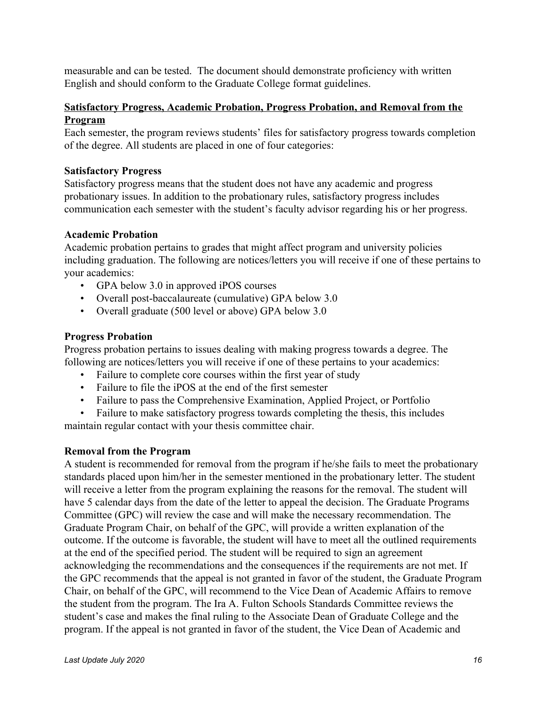measurable and can be tested. The document should demonstrate proficiency with written English and should conform to the Graduate College format guidelines.

## **Satisfactory Progress, Academic Probation, Progress Probation, and Removal from the Program**

Each semester, the program reviews students' files for satisfactory progress towards completion of the degree. All students are placed in one of four categories:

### **Satisfactory Progress**

Satisfactory progress means that the student does not have any academic and progress probationary issues. In addition to the probationary rules, satisfactory progress includes communication each semester with the student's faculty advisor regarding his or her progress.

### **Academic Probation**

Academic probation pertains to grades that might affect program and university policies including graduation. The following are notices/letters you will receive if one of these pertains to your academics:

- GPA below 3.0 in approved iPOS courses
- Overall post-baccalaureate (cumulative) GPA below 3.0
- Overall graduate (500 level or above) GPA below 3.0

### **Progress Probation**

Progress probation pertains to issues dealing with making progress towards a degree. The following are notices/letters you will receive if one of these pertains to your academics:

- Failure to complete core courses within the first year of study
- Failure to file the iPOS at the end of the first semester
- Failure to pass the Comprehensive Examination, Applied Project, or Portfolio
- Failure to make satisfactory progress towards completing the thesis, this includes

maintain regular contact with your thesis committee chair.

#### **Removal from the Program**

A student is recommended for removal from the program if he/she fails to meet the probationary standards placed upon him/her in the semester mentioned in the probationary letter. The student will receive a letter from the program explaining the reasons for the removal. The student will have 5 calendar days from the date of the letter to appeal the decision. The Graduate Programs Committee (GPC) will review the case and will make the necessary recommendation. The Graduate Program Chair, on behalf of the GPC, will provide a written explanation of the outcome. If the outcome is favorable, the student will have to meet all the outlined requirements at the end of the specified period. The student will be required to sign an agreement acknowledging the recommendations and the consequences if the requirements are not met. If the GPC recommends that the appeal is not granted in favor of the student, the Graduate Program Chair, on behalf of the GPC, will recommend to the Vice Dean of Academic Affairs to remove the student from the program. The Ira A. Fulton Schools Standards Committee reviews the student's case and makes the final ruling to the Associate Dean of Graduate College and the program. If the appeal is not granted in favor of the student, the Vice Dean of Academic and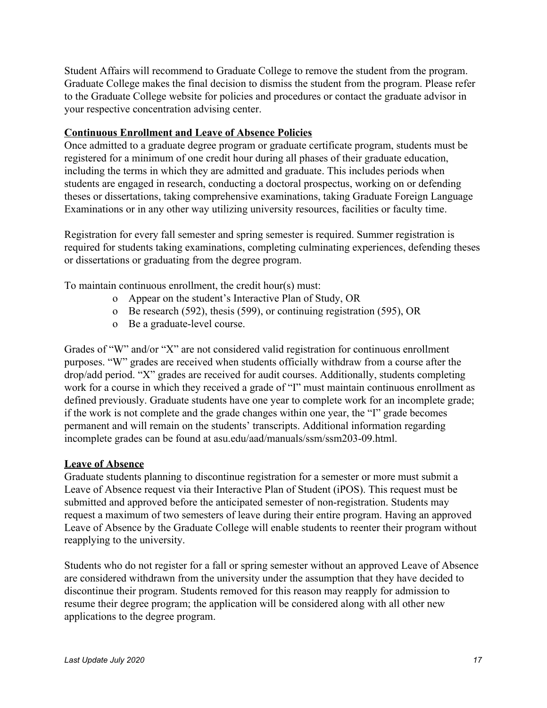Student Affairs will recommend to Graduate College to remove the student from the program. Graduate College makes the final decision to dismiss the student from the program. Please refer to the Graduate College website for policies and procedures or contact the graduate advisor in your respective concentration advising center.

### **Continuous Enrollment and Leave of Absence Policies**

Once admitted to a graduate degree program or graduate certificate program, students must be registered for a minimum of one credit hour during all phases of their graduate education, including the terms in which they are admitted and graduate. This includes periods when students are engaged in research, conducting a doctoral prospectus, working on or defending theses or dissertations, taking comprehensive examinations, taking Graduate Foreign Language Examinations or in any other way utilizing university resources, facilities or faculty time.

Registration for every fall semester and spring semester is required. Summer registration is required for students taking examinations, completing culminating experiences, defending theses or dissertations or graduating from the degree program.

To maintain continuous enrollment, the credit hour(s) must:

- o Appear on the student's Interactive Plan of Study, OR
- o Be research (592), thesis (599), or continuing registration (595), OR
- o Be a graduate-level course.

Grades of "W" and/or "X" are not considered valid registration for continuous enrollment purposes. "W" grades are received when students officially withdraw from a course after the drop/add period. "X" grades are received for audit courses. Additionally, students completing work for a course in which they received a grade of "I" must maintain continuous enrollment as defined previously. Graduate students have one year to complete work for an incomplete grade; if the work is not complete and the grade changes within one year, the "I" grade becomes permanent and will remain on the students' transcripts. Additional information regarding incomplete grades can be found at asu.edu/aad/manuals/ssm/ssm203-09.html.

#### **Leave of Absence**

Graduate students planning to discontinue registration for a semester or more must submit a Leave of Absence request via their Interactive Plan of Student (iPOS). This request must be submitted and approved before the anticipated semester of non-registration. Students may request a maximum of two semesters of leave during their entire program. Having an approved Leave of Absence by the Graduate College will enable students to reenter their program without reapplying to the university.

Students who do not register for a fall or spring semester without an approved Leave of Absence are considered withdrawn from the university under the assumption that they have decided to discontinue their program. Students removed for this reason may reapply for admission to resume their degree program; the application will be considered along with all other new applications to the degree program.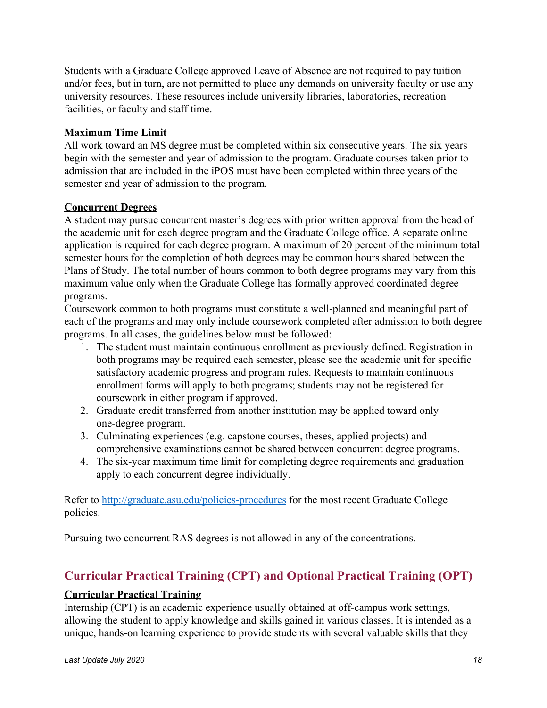Students with a Graduate College approved Leave of Absence are not required to pay tuition and/or fees, but in turn, are not permitted to place any demands on university faculty or use any university resources. These resources include university libraries, laboratories, recreation facilities, or faculty and staff time.

# **Maximum Time Limit**

All work toward an MS degree must be completed within six consecutive years. The six years begin with the semester and year of admission to the program. Graduate courses taken prior to admission that are included in the iPOS must have been completed within three years of the semester and year of admission to the program.

## **Concurrent Degrees**

A student may pursue concurrent master's degrees with prior written approval from the head of the academic unit for each degree program and the Graduate College office. A separate online application is required for each degree program. A maximum of 20 percent of the minimum total semester hours for the completion of both degrees may be common hours shared between the Plans of Study. The total number of hours common to both degree programs may vary from this maximum value only when the Graduate College has formally approved coordinated degree programs.

Coursework common to both programs must constitute a well-planned and meaningful part of each of the programs and may only include coursework completed after admission to both degree programs. In all cases, the guidelines below must be followed:

- 1. The student must maintain continuous enrollment as previously defined. Registration in both programs may be required each semester, please see the academic unit for specific satisfactory academic progress and program rules. Requests to maintain continuous enrollment forms will apply to both programs; students may not be registered for coursework in either program if approved.
- 2. Graduate credit transferred from another institution may be applied toward only one-degree program.
- 3. Culminating experiences (e.g. capstone courses, theses, applied projects) and comprehensive examinations cannot be shared between concurrent degree programs.
- 4. The six-year maximum time limit for completing degree requirements and graduation apply to each concurrent degree individually.

Refer to <http://graduate.asu.edu/policies-procedures> for the most recent Graduate College policies.

Pursuing two concurrent RAS degrees is not allowed in any of the concentrations.

# <span id="page-17-0"></span>**Curricular Practical Training (CPT) and Optional Practical Training (OPT)**

# **Curricular Practical Training**

Internship (CPT) is an academic experience usually obtained at off-campus work settings, allowing the student to apply knowledge and skills gained in various classes. It is intended as a unique, hands-on learning experience to provide students with several valuable skills that they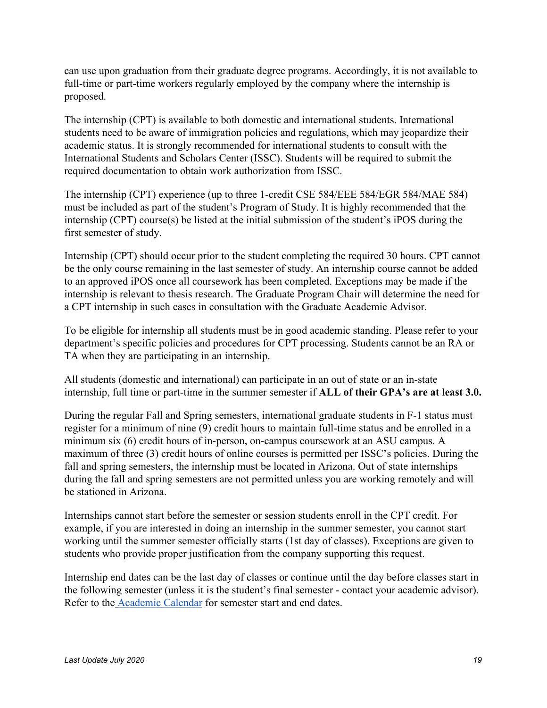can use upon graduation from their graduate degree programs. Accordingly, it is not available to full-time or part-time workers regularly employed by the company where the internship is proposed.

The internship (CPT) is available to both domestic and international students. International students need to be aware of immigration policies and regulations, which may jeopardize their academic status. It is strongly recommended for international students to consult with the International Students and Scholars Center (ISSC). Students will be required to submit the required documentation to obtain work authorization from ISSC.

The internship (CPT) experience (up to three 1-credit CSE 584/EEE 584/EGR 584/MAE 584) must be included as part of the student's Program of Study. It is highly recommended that the internship (CPT) course(s) be listed at the initial submission of the student's iPOS during the first semester of study.

Internship (CPT) should occur prior to the student completing the required 30 hours. CPT cannot be the only course remaining in the last semester of study. An internship course cannot be added to an approved iPOS once all coursework has been completed. Exceptions may be made if the internship is relevant to thesis research. The Graduate Program Chair will determine the need for a CPT internship in such cases in consultation with the Graduate Academic Advisor.

To be eligible for internship all students must be in good academic standing. Please refer to your department's specific policies and procedures for CPT processing. Students cannot be an RA or TA when they are participating in an internship.

All students (domestic and international) can participate in an out of state or an in-state internship, full time or part-time in the summer semester if **ALL of their GPA's are at least 3.0.**

During the regular Fall and Spring semesters, international graduate students in F-1 status must register for a minimum of nine (9) credit hours to maintain full-time status and be enrolled in a minimum six (6) credit hours of in-person, on-campus coursework at an ASU campus. A maximum of three (3) credit hours of online courses is permitted per ISSC's policies. During the fall and spring semesters, the internship must be located in Arizona. Out of state internships during the fall and spring semesters are not permitted unless you are working remotely and will be stationed in Arizona.

Internships cannot start before the semester or session students enroll in the CPT credit. For example, if you are interested in doing an internship in the summer semester, you cannot start working until the summer semester officially starts (1st day of classes). Exceptions are given to students who provide proper justification from the company supporting this request.

Internship end dates can be the last day of classes or continue until the day before classes start in the following semester (unless it is the student's final semester - contact your academic advisor). Refer to the [Academic Calendar](https://students.asu.edu/academic-calendar) for semester start and end dates.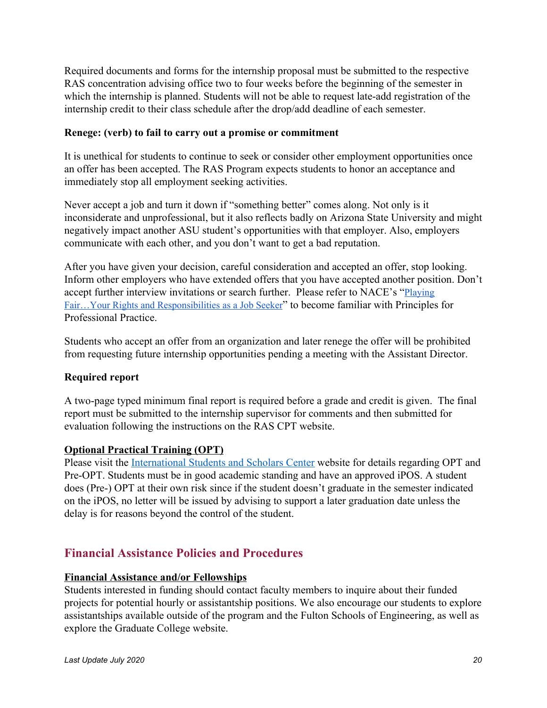Required documents and forms for the internship proposal must be submitted to the respective RAS concentration advising office two to four weeks before the beginning of the semester in which the internship is planned. Students will not be able to request late-add registration of the internship credit to their class schedule after the drop/add deadline of each semester.

## **Renege: (verb) to fail to carry out a promise or commitment**

It is unethical for students to continue to seek or consider other employment opportunities once an offer has been accepted. The RAS Program expects students to honor an acceptance and immediately stop all employment seeking activities.

Never accept a job and turn it down if "something better" comes along. Not only is it inconsiderate and unprofessional, but it also reflects badly on Arizona State University and might negatively impact another ASU student's opportunities with that employer. Also, employers communicate with each other, and you don't want to get a bad reputation.

After you have given your decision, careful consideration and accepted an offer, stop looking. Inform other employers who have extended offers that you have accepted another position. Don't accept further interview invitations or search further. Please refer to NACE's "[Playing](https://drive.google.com/a/asu.edu/file/d/12Qog76n05YvytsaHGaTdM6IV7gxudnPC/view?usp=sharing) Fair…Your Rights and [Responsibilities](https://drive.google.com/a/asu.edu/file/d/12Qog76n05YvytsaHGaTdM6IV7gxudnPC/view?usp=sharing) as a Job Seeker" to become familiar with Principles for Professional Practice.

Students who accept an offer from an organization and later renege the offer will be prohibited from requesting future internship opportunities pending a meeting with the Assistant Director.

## **Required report**

A two-page typed minimum final report is required before a grade and credit is given. The final report must be submitted to the internship supervisor for comments and then submitted for evaluation following the instructions on the RAS CPT website.

## **Optional Practical Training (OPT)**

Please visit the [International Students and Scholars Center](https://students.asu.edu/international/support/opt) website for details regarding OPT and Pre-OPT. Students must be in good academic standing and have an approved iPOS. A student does (Pre-) OPT at their own risk since if the student doesn't graduate in the semester indicated on the iPOS, no letter will be issued by advising to support a later graduation date unless the delay is for reasons beyond the control of the student.

# <span id="page-19-0"></span>**Financial Assistance Policies and Procedures**

## **Financial Assistance and/or Fellowships**

Students interested in funding should contact faculty members to inquire about their funded projects for potential hourly or assistantship positions. We also encourage our students to explore assistantships available outside of the program and the Fulton Schools of Engineering, as well as explore the Graduate College website.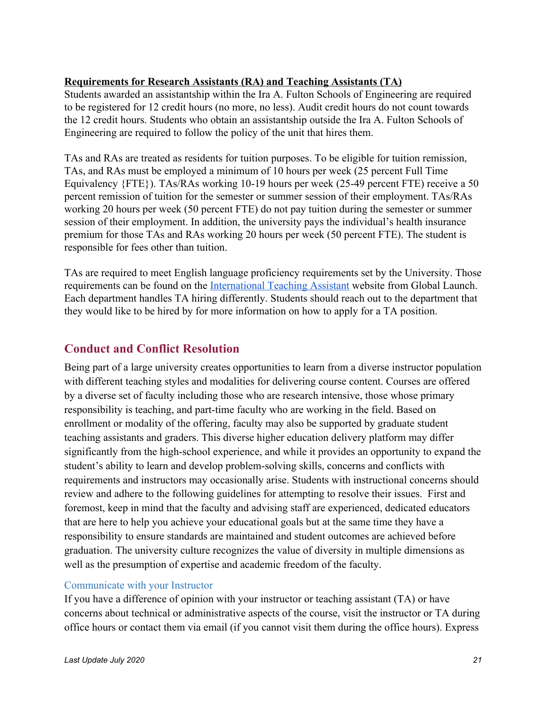## **Requirements for Research Assistants (RA) and Teaching Assistants (TA)**

Students awarded an assistantship within the Ira A. Fulton Schools of Engineering are required to be registered for 12 credit hours (no more, no less). Audit credit hours do not count towards the 12 credit hours. Students who obtain an assistantship outside the Ira A. Fulton Schools of Engineering are required to follow the policy of the unit that hires them.

TAs and RAs are treated as residents for tuition purposes. To be eligible for tuition remission, TAs, and RAs must be employed a minimum of 10 hours per week (25 percent Full Time Equivalency {FTE}). TAs/RAs working 10-19 hours per week (25-49 percent FTE) receive a 50 percent remission of tuition for the semester or summer session of their employment. TAs/RAs working 20 hours per week (50 percent FTE) do not pay tuition during the semester or summer session of their employment. In addition, the university pays the individual's health insurance premium for those TAs and RAs working 20 hours per week (50 percent FTE). The student is responsible for fees other than tuition.

TAs are required to meet English language proficiency requirements set by the University. Those requirements can be found on the [International Teaching Assistant](https://learnenglish.asu.edu/international-teaching-assistant) website from Global Launch. Each department handles TA hiring differently. Students should reach out to the department that they would like to be hired by for more information on how to apply for a TA position.

# <span id="page-20-0"></span>**Conduct and Conflict Resolution**

Being part of a large university creates opportunities to learn from a diverse instructor population with different teaching styles and modalities for delivering course content. Courses are offered by a diverse set of faculty including those who are research intensive, those whose primary responsibility is teaching, and part-time faculty who are working in the field. Based on enrollment or modality of the offering, faculty may also be supported by graduate student teaching assistants and graders. This diverse higher education delivery platform may differ significantly from the high-school experience, and while it provides an opportunity to expand the student's ability to learn and develop problem-solving skills, concerns and conflicts with requirements and instructors may occasionally arise. Students with instructional concerns should review and adhere to the following guidelines for attempting to resolve their issues. First and foremost, keep in mind that the faculty and advising staff are experienced, dedicated educators that are here to help you achieve your educational goals but at the same time they have a responsibility to ensure standards are maintained and student outcomes are achieved before graduation. The university culture recognizes the value of diversity in multiple dimensions as well as the presumption of expertise and academic freedom of the faculty.

## Communicate with your Instructor

If you have a difference of opinion with your instructor or teaching assistant (TA) or have concerns about technical or administrative aspects of the course, visit the instructor or TA during office hours or contact them via email (if you cannot visit them during the office hours). Express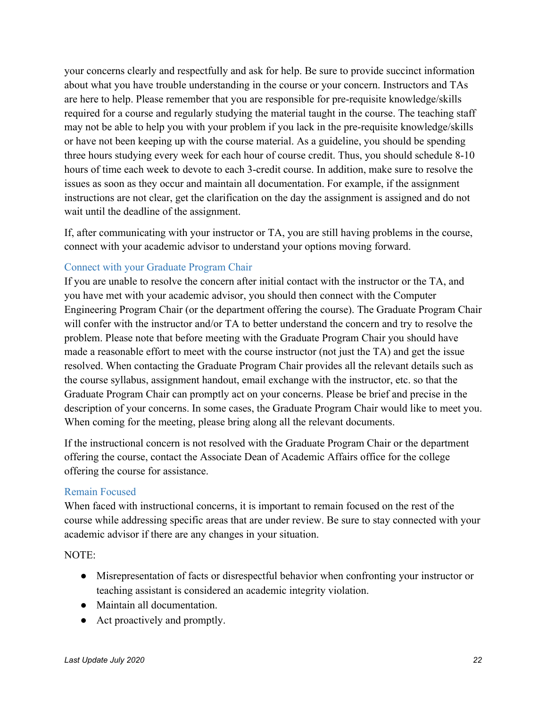your concerns clearly and respectfully and ask for help. Be sure to provide succinct information about what you have trouble understanding in the course or your concern. Instructors and TAs are here to help. Please remember that you are responsible for pre-requisite knowledge/skills required for a course and regularly studying the material taught in the course. The teaching staff may not be able to help you with your problem if you lack in the pre-requisite knowledge/skills or have not been keeping up with the course material. As a guideline, you should be spending three hours studying every week for each hour of course credit. Thus, you should schedule 8-10 hours of time each week to devote to each 3-credit course. In addition, make sure to resolve the issues as soon as they occur and maintain all documentation. For example, if the assignment instructions are not clear, get the clarification on the day the assignment is assigned and do not wait until the deadline of the assignment.

If, after communicating with your instructor or TA, you are still having problems in the course, connect with your academic advisor to understand your options moving forward.

## Connect with your Graduate Program Chair

If you are unable to resolve the concern after initial contact with the instructor or the TA, and you have met with your academic advisor, you should then connect with the Computer Engineering Program Chair (or the department offering the course). The Graduate Program Chair will confer with the instructor and/or TA to better understand the concern and try to resolve the problem. Please note that before meeting with the Graduate Program Chair you should have made a reasonable effort to meet with the course instructor (not just the TA) and get the issue resolved. When contacting the Graduate Program Chair provides all the relevant details such as the course syllabus, assignment handout, email exchange with the instructor, etc. so that the Graduate Program Chair can promptly act on your concerns. Please be brief and precise in the description of your concerns. In some cases, the Graduate Program Chair would like to meet you. When coming for the meeting, please bring along all the relevant documents.

If the instructional concern is not resolved with the Graduate Program Chair or the department offering the course, contact the Associate Dean of Academic Affairs office for the college offering the course for assistance.

#### Remain Focused

When faced with instructional concerns, it is important to remain focused on the rest of the course while addressing specific areas that are under review. Be sure to stay connected with your academic advisor if there are any changes in your situation.

NOTE:

- Misrepresentation of facts or disrespectful behavior when confronting your instructor or teaching assistant is considered an academic integrity violation.
- Maintain all documentation.
- Act proactively and promptly.